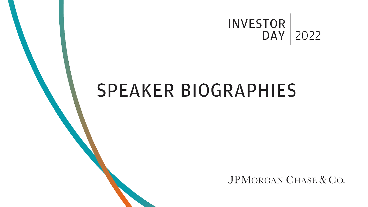

# **SPEAKER BIOGRAPHIES**

JPMORGAN CHASE & CO.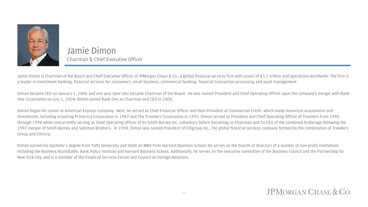

Jamie Dimon Chairman & Chief Executive Officer

Jamie Dimon is Chairman of the Board and Chief Executive Officer of JPMorgan Chase & Co., a global financial services firm with assets of \$3.2 trillion and operations worldwide. The firm is a leader in investment banking, financial services for consumers, small business, commercial banking, financial transaction processing and asset management.

Dimon became CEO on January 1, 2006 and one year later also became Chairman of the Board. He was named President and Chief Operating Officer upon the company's merger with Bank One Corporation on July 1, 2004. Dimon joined Bank One as Chairman and CEO in 2000.

Dimon began his career at American Express Company. Next, he served as Chief Financial Officer and then President at Commercial Credit, which made numerous acquisitions and divestitures, including acquiring Primerica Corporation in 1987 and The Travelers Corporation in 1993. Dimon served as President and Chief Operating Officer of Travelers from 1990 through 1998 while concurrently serving as Chief Operating Officer of its Smith Barney Inc. subsidiary before becoming co-Chairman and Co-CEO of the combined brokerage following the 1997 merger of Smith Barney and Salomon Brothers. In 1998, Dimon was named President of Citigroup Inc., the global financial services company formed by the combination of Travelers Group and Citicorp.

Dimon earned his bachelor's degree from Tufts University and holds an MBA from Harvard Business School. He serves on the boards of directors of a number of non-profit institutions including the Business Roundtable, Bank Policy Institute and Harvard Business School. Additionally, he serves on the executive committee of the Business Council and the Partnership for New York City, and is a member of the Financial Services Forum and Council on Foreign Relations.

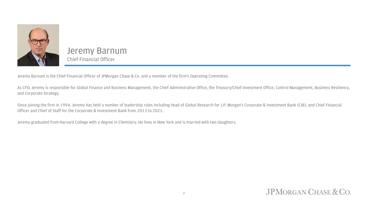

#### Jeremy Barnum Chief Financial Officer

Jeremy Barnum is the Chief Financial Officer of JPMorgan Chase & Co. and a member of the firm's Operating Committee.

As CFO, Jeremy is responsible for Global Finance and Business Management, the Chief Administrative Office, the Treasury/Chief Investment Office, Control Management, Business Resiliency, and Corporate Strategy.

Since joining the firm in 1994, Jeremy has held a number of leadership roles including head of Global Research for J.P. Morgan's Corporate & Investment Bank (CIB), and Chief Financial Officer and Chief of Staff for the Corporate & Investment Bank from 2013 to 2021.

Jeremy graduated from Harvard College with a degree in Chemistry. He lives in New York and is married with two daughters.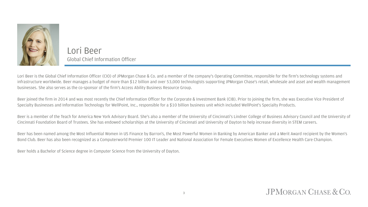

Lori Beer Global Chief Information Officer

Lori Beer is the Global Chief Information Officer (CIO) of JPMorgan Chase & Co. and a member of the company's Operating Committee, responsible for the firm's technology systems and infrastructure worldwide. Beer manages a budget of more than \$12 billion and over 53,000 technologists supporting JPMorgan Chase's retail, wholesale and asset and wealth management businesses. She also serves as the co-sponsor of the firm's Access Ability Business Resource Group.

Beer joined the firm in 2014 and was most recently the Chief Information Officer for the Corporate & Investment Bank (CIB). Prior to joining the firm, she was Executive Vice President of Specialty Businesses and Information Technology for WellPoint, Inc., responsible for a \$10 billion business unit which included WellPoint's Specialty Products.

Beer is a member of the Teach for America New York Advisory Board. She's also a member of the University of Cincinnati's Lindner College of Business Advisory Council and the University of Cincinnati Foundation Board of Trustees. She has endowed scholarships at the University of Cincinnati and University of Dayton to help increase diversity in STEM careers.

Beer has been named among the Most Influential Women in US Finance by Barron's, the Most Powerful Women in Banking by American Banker and a Merit Award recipient by the Women's Bond Club. Beer has also been recognized as a Computerworld Premier 100 IT Leader and National Association for Female Executives Women of Excellence Health Care Champion.

Beer holds a Bachelor of Science degree in Computer Science from the University of Dayton.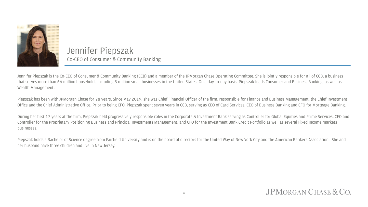

#### Jennifer Piepszak Co-CEO of Consumer & Community Banking

Jennifer Piepszak is the Co-CEO of Consumer & Community Banking (CCB) and a member of the JPMorgan Chase Operating Committee. She is jointly responsible for all of CCB, a business that serves more than 66 million households including 5 million small businesses in the United States. On a day-to-day basis, Piepszak leads Consumer and Business Banking, as well as Wealth Management.

Piepszak has been with JPMorgan Chase for 28 years. Since May 2019, she was Chief Financial Officer of the firm, responsible for Finance and Business Management, the Chief Investment Office and the Chief Administrative Office. Prior to being CFO, Piepszak spent seven years in CCB, serving as CEO of Card Services, CEO of Business Banking and CFO for Mortgage Banking.

During her first 17 years at the firm, Piepszak held progressively responsible roles in the Corporate & Investment Bank serving as Controller for Global Equities and Prime Services, CFO and Controller for the Proprietary Positioning Business and Principal Investments Management, and CFO for the Investment Bank Credit Portfolio as well as several Fixed Income markets businesses.

Piepszak holds a Bachelor of Science degree from Fairfield University and is on the board of directors for the United Way of New York City and the American Bankers Association. She and her husband have three children and live in New Jersey.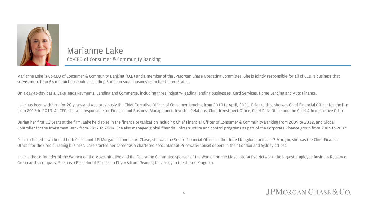

#### Marianne Lake Co-CEO of Consumer & Community Banking

Marianne Lake is Co-CEO of Consumer & Community Banking (CCB) and a member of the JPMorgan Chase Operating Committee. She is jointly responsible for all of CCB, a business that serves more than 66 million households including 5 million small businesses in the United States.

On a day-to-day basis, Lake leads Payments, Lending and Commerce, including three industry-leading lending businesses: Card Services, Home Lending and Auto Finance.

Lake has been with firm for 20 years and was previously the Chief Executive Officer of Consumer Lending from 2019 to April, 2021. Prior to this, she was Chief Financial Officer for the firm from 2013 to 2019. As CFO, she was responsible for Finance and Business Management, Investor Relations, Chief Investment Office, Chief Data Office and the Chief Administrative Office.

During her first 12 years at the firm, Lake held roles in the finance organization including Chief Financial Officer of Consumer & Community Banking from 2009 to 2012, and Global Controller for the Investment Bank from 2007 to 2009. She also managed global financial infrastructure and control programs as part of the Corporate Finance group from 2004 to 2007.

Prior to this, she worked at both Chase and J.P. Morgan in London. At Chase, she was the Senior Financial Officer in the United Kingdom, and at J.P. Morgan, she was the Chief Financial Officer for the Credit Trading business. Lake started her career as a chartered accountant at PricewaterhouseCoopers in their London and Sydney offices.

Lake is the co-founder of the Women on the Move initiative and the Operating Committee sponsor of the Women on the Move Interactive Network, the largest employee Business Resource Group at the company. She has a Bachelor of Science in Physics from Reading University in the United Kingdom.

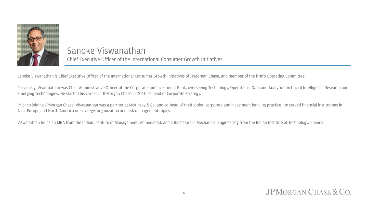

### Sanoke Viswanathan

Chief Executive Officer of the International Consumer Growth Initiatives

Sanoke Viswanathan is Chief Executive Officer of the International Consumer Growth Initiatives of JPMorgan Chase, and member of the firm's Operating Committee.

Previously, Viswanathan was Chief Administrative Officer of the Corporate and Investment Bank, overseeing Technology, Operations, Data and Analytics, Artificial Intelligence Research and Emerging Technologies. He started his career in JPMorgan Chase in 2010 as head of Corporate Strategy.

Prior to joining JPMorgan Chase, Viswanathan was a partner at McKinsey & Co, and co-head of their global corporate and investment banking practice. He served financial institutions in Asia, Europe and North America on strategy, organization and risk management topics.

Viswanathan holds an MBA from the Indian Institute of Management, Ahmedabad, and a Bachelors in Mechanical Engineering from the Indian Institute of Technology, Chennai.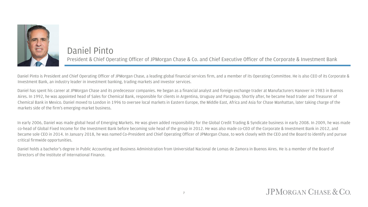

#### Daniel Pinto

President & Chief Operating Officer of JPMorgan Chase & Co. and Chief Executive Officer of the Corporate & Investment Bank

Daniel Pinto is President and Chief Operating Officer of JPMorgan Chase, a leading global financial services firm, and a member of its Operating Committee. He is also CEO of its Corporate & Investment Bank, an industry leader in investment banking, trading markets and investor services.

Daniel has spent his career at JPMorgan Chase and its predecessor companies. He began as a financial analyst and foreign exchange trader at Manufacturers Hanover in 1983 in Buenos Aires. In 1992, he was appointed head of Sales for Chemical Bank, responsible for clients in Argentina, Uruguay and Paraguay. Shortly after, he became head trader and Treasurer of Chemical Bank in Mexico. Daniel moved to London in 1996 to oversee local markets in Eastern Europe, the Middle East, Africa and Asia for Chase Manhattan, later taking charge of the markets side of the firm's emerging-market business.

In early 2006, Daniel was made global head of Emerging Markets. He was given added responsibility for the Global Credit Trading & Syndicate business in early 2008. In 2009, he was made co-head of Global Fixed Income for the Investment Bank before becoming sole head of the group in 2012. He was also made co-CEO of the Corporate & Investment Bank in 2012, and became sole CEO in 2014. In January 2018, he was named Co-President and Chief Operating Officer of JPMorgan Chase, to work closely with the CEO and the Board to identify and pursue critical firmwide opportunities.

Daniel holds a bachelor's degree in Public Accounting and Business Administration from Universidad Nacional de Lomas de Zamora in Buenos Aires. He is a member of the Board of Directors of the Institute of International Finance.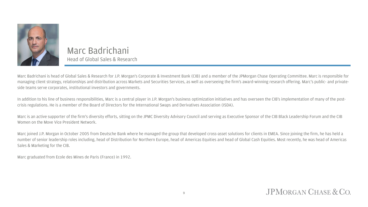

#### Marc Badrichani Head of Global Sales & Research

Marc Badrichani is head of Global Sales & Research for J.P. Morgan's Corporate & Investment Bank (CIB) and a member of the JPMorgan Chase Operating Committee. Marc is responsible for managing client strategy, relationships and distribution across Markets and Securities Services, as well as overseeing the firm's award-winning research offering. Marc's public- and privateside teams serve corporates, institutional investors and governments.

In addition to his line of business responsibilities, Marc is a central player in J.P. Morgan's business optimization initiatives and has overseen the CIB's implementation of many of the postcrisis regulations. He is a member of the Board of Directors for the International Swaps and Derivatives Association (ISDA).

Marc is an active supporter of the firm's diversity efforts, sitting on the JPMC Diversity Advisory Council and serving as Executive Sponsor of the CIB Black Leadership Forum and the CIB Women on the Move Vice President Network.

Marc joined J.P. Morgan in October 2005 from Deutsche Bank where he managed the group that developed cross-asset solutions for clients in EMEA. Since joining the firm, he has held a number of senior leadership roles including, head of Distribution for Northern Europe, head of Americas Equities and head of Global Cash Equities. Most recently, he was head of Americas Sales & Marketing for the CIB.

Marc graduated from Ecole des Mines de Paris (France) in 1992.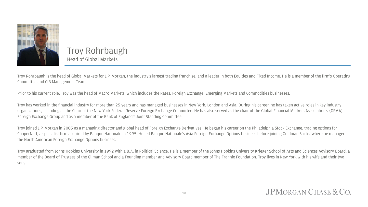

#### Troy Rohrbaugh Head of Global Markets

Troy Rohrbaugh is the head of Global Markets for J.P. Morgan, the industry's largest trading franchise, and a leader in both Equities and Fixed Income. He is a member of the firm's Operating Committee and CIB Management Team.

Prior to his current role, Troy was the head of Macro Markets, which includes the Rates, Foreign Exchange, Emerging Markets and Commodities businesses.

Troy has worked in the financial industry for more than 25 years and has managed businesses in New York, London and Asia. During his career, he has taken active roles in key industry organizations, including as the Chair of the New York Federal Reserve Foreign Exchange Committee. He has also served as the chair of the Global Financial Markets Association's (GFMA) Foreign Exchange Group and as a member of the Bank of England's Joint Standing Committee.

Troy joined J.P. Morgan in 2005 as a managing director and global head of Foreign Exchange Derivatives. He began his career on the Philadelphia Stock Exchange, trading options for CooperNeff, a specialist firm acquired by Banque Nationale in 1995. He led Banque Nationale's Asia Foreign Exchange Options business before joining Goldman Sachs, where he managed the North American Foreign Exchange Options business.

Troy graduated from Johns Hopkins University in 1992 with a B.A. in Political Science. He is a member of the Johns Hopkins University Krieger School of Arts and Sciences Advisory Board, a member of the Board of Trustees of the Gilman School and a Founding member and Advisory Board member of The Frannie Foundation. Troy lives in New York with his wife and their two sons.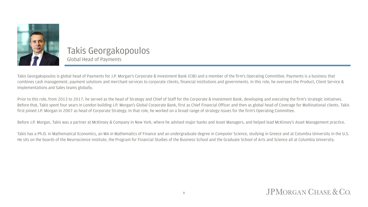

#### Takis Georgakopoulos Global Head of Payments

Takis Georgakopoulos is global head of Payments for J.P. Morgan's Corporate & Investment Bank (CIB) and a member of the firm's Operating Committee. Payments is a business that combines cash management, payment solutions and merchant services to corporate clients, financial institutions and governments. In this role, he oversees the Product, Client Service & Implementations and Sales teams globally.

Prior to this role, from 2013 to 2017, he served as the head of Strategy and Chief of Staff for the Corporate & Investment Bank, developing and executing the firm's strategic initiatives. Before that, Takis spent four years in London building J.P. Morgan's Global Corporate Bank, first as Chief Financial Officer and then as global head of Coverage for Multinational clients. Takis first joined J.P. Morgan in 2007 as head of Corporate Strategy. In that role, he worked on a broad range of strategy issues for the firm's Operating Committee.

Before J.P. Morgan, Takis was a partner at McKinsey & Company in New York, where he advised major banks and Asset Managers, and helped lead McKinsey's Asset Management practice.

Takis has a Ph.D. in Mathematical Economics, an MA in Mathematics of Finance and an undergraduate degree in Computer Science, studying in Greece and at Columbia University in the U.S. He sits on the boards of the Neuroscience Institute, the Program for Financial Studies of the Business School and the Graduate School of Arts and Science all at Columbia University.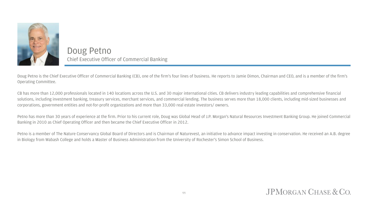

Doug Petno Chief Executive Officer of Commercial Banking

Doug Petno is the Chief Executive Officer of Commercial Banking (CB), one of the firm's four lines of business. He reports to Jamie Dimon, Chairman and CEO, and is a member of the firm's Operating Committee.

CB has more than 12,000 professionals located in 140 locations across the U.S. and 30 major international cities. CB delivers industry leading capabilities and comprehensive financial solutions, including investment banking, treasury services, merchant services, and commercial lending. The business serves more than 18,000 clients, including mid-sized businesses and corporations, government entities and not-for-profit organizations and more than 33,000 real estate investors/ owners.

Petno has more than 30 years of experience at the firm. Prior to his current role, Doug was Global Head of J.P. Morgan's Natural Resources Investment Banking Group. He joined Commercial Banking in 2010 as Chief Operating Officer and then became the Chief Executive Officer in 2012.

Petno is a member of The Nature Conservancy Global Board of Directors and is Chairman of Naturevest, an initiative to advance impact investing in conservation. He received an A.B. degree in Biology from Wabash College and holds a Master of Business Administration from the University of Rochester's Simon School of Business.